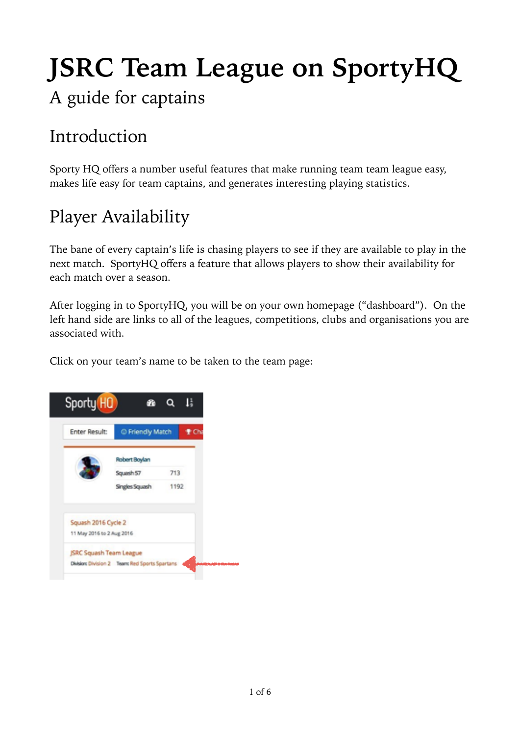# **JSRC Team League on SportyHQ**

#### A guide for captains

### Introduction

Sporty HQ offers a number useful features that make running team team league easy, makes life easy for team captains, and generates interesting playing statistics.

### Player Availability

The bane of every captain's life is chasing players to see if they are available to play in the next match. SportyHQ offers a feature that allows players to show their availability for each match over a season.

After logging in to SportyHQ, you will be on your own homepage ("dashboard"). On the left hand side are links to all of the leagues, competitions, clubs and organisations you are associated with.

Click on your team's name to be taken to the team page:

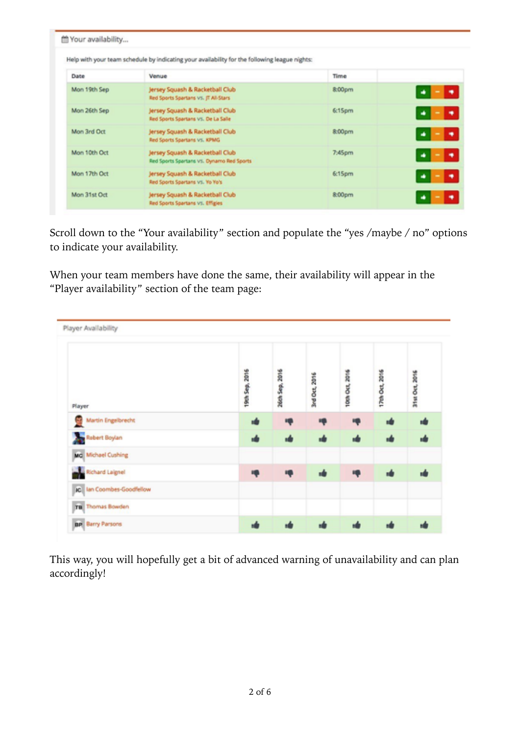|              | Help with your team schedule by indicating your availability for the following league nights: |                   |   |
|--------------|-----------------------------------------------------------------------------------------------|-------------------|---|
| Date         | Venue                                                                                         | Time              |   |
| Mon 19th Sep | Jersey Squash & Racketball Club<br>Red Sports Spartans VS. JT All-Stars                       | &00 <sub>pm</sub> |   |
| Mon 26th Sep | Jersey Squash & Racketball Club<br>Red Sports Spartans VS. De La Salle                        | 6:15pm            |   |
| Mon 3rd Oct  | Jersey Squash & Racketball Club<br>Red Sports Spartans VS. KPMG                               | 8:00pm            | ۰ |
| Mon 10th Oct | Jersey Squash & Racketball Club<br>Red Sports Spartans VS. Dynamo Red Sports                  | 7:45pm            | ٠ |
| Mon 17th Oct | Jersey Squash & Racketball Club<br>Red Sports Spartans vs. Yo Yo's                            | 6:15pm            | ۰ |
| Mon 31st Oct | Jersey Squash & Racketball Club<br>Red Sports Spartans vs. Effigies                           | 8:00pm            |   |

Scroll down to the "Your availability" section and populate the "yes /maybe / no" options to indicate your availability.

When your team members have done the same, their availability will appear in the "Player availability" section of the team page:

| Player Availability              |                |                |               |                |                |                |
|----------------------------------|----------------|----------------|---------------|----------------|----------------|----------------|
| Player                           | 19th Sep. 2016 | 26th Sep. 2016 | 3rd Oct, 2016 | 10th Oct, 2016 | 17th Oct, 2016 | 31st Oct, 2016 |
| Martin Engelbrecht               |                |                |               |                |                | кÔ             |
| Rebert Boylan                    |                |                |               |                |                | иŵ             |
| Md Michael Cushing               |                |                |               |                |                |                |
| Richard Laignel                  |                |                |               |                |                |                |
| <b>IC</b> Ian Coombes-Goodfellow |                |                |               |                |                |                |
| TB Thomas Bowden                 |                |                |               |                |                |                |
| <b>BP</b> Barry Parsons          |                |                |               |                |                |                |

This way, you will hopefully get a bit of advanced warning of unavailability and can plan accordingly!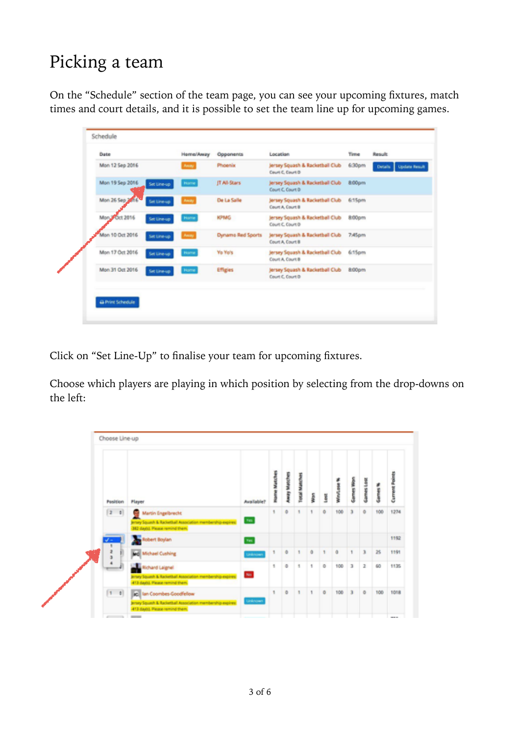# Picking a team

On the "Schedule" section of the team page, you can see your upcoming fixtures, match times and court details, and it is possible to set the team line up for upcoming games.

| Date                                  | Home/Away | Opponents         | Location                                             | Time   | Result                |
|---------------------------------------|-----------|-------------------|------------------------------------------------------|--------|-----------------------|
| Mon 12 Sep 2016                       | Away      | Phoenix           | Jersey Squash & Racketball Club<br>Court C. Court D  | 6:30pm | Details Update Result |
| Mon 19 Sep 2016<br>Set Line-up        | Home      | IT All-Stars      | Jersey Squash & Racketball Club<br>Court C. Court D  | 8:00pm |                       |
| Mon 26 Sep 2016<br>Set Line up        | Away      | De La Salle       | Jersey Squash & Racketball Club<br>Court A, Court B  | 6:15pm |                       |
| Mon 3 Oct 2016<br>Set Line-up         | Home      | KPMG              | Jersey Squash & Racketball Club<br>Court C. Court D. | 8:00pm |                       |
| Mon 10 Oct 2016<br>Set Line-up        | Anny      | Dynamo Red Sports | Jersey Squash & Racketball Club<br>Court A, Court B  | 7:45pm |                       |
| Mon 17 Oct 2016<br><b>Sat Line up</b> | Home      | <b>Yo Yo's</b>    | Jersey Squash & Racketball Club<br>Court A. Court B  | 6:15pm |                       |
| Mon 31 Oct 2016<br>Set Line-up        | Home      | Effigies          | Jersey Squash & Racketball Club<br>Court C. Court D  | 8:00pm |                       |
|                                       |           |                   |                                                      |        |                       |

Click on "Set Line-Up" to finalise your team for upcoming fixtures.

Choose which players are playing in which position by selecting from the drop-downs on the left:

| Position                              | Player                                                                                                                  | Australiable?  | me Mats<br>ł | <b>Navay Matches</b> | TORAL MANON | <b>Risk</b> | Š       |     | <b>Lemmes</b> Weber | ames Lost     |     | <b>Current Points</b> |
|---------------------------------------|-------------------------------------------------------------------------------------------------------------------------|----------------|--------------|----------------------|-------------|-------------|---------|-----|---------------------|---------------|-----|-----------------------|
| $\begin{bmatrix} 2 & 1 \end{bmatrix}$ | Martin Engelbrecht<br>ensey Squash & Racketball Association membership-expires:<br>312 day(d. Please remind them.       | nes.           | 4            | ō                    | ٠           |             | o       | 100 | $\mathbf{a}$        | $\circ$       | 100 | 1274                  |
|                                       | <b>Robert Boylan</b>                                                                                                    | <b>Tel:</b>    |              |                      |             |             |         |     |                     |               |     | 1192                  |
|                                       | <b>Mc Michael Cushing</b>                                                                                               | Unknown        | 1            | ÷                    | ٠           | o           | ٦       | o   | ۹.                  | $\mathbf 3$   | 25  | 1191                  |
|                                       | Richard Laighel<br>imary Squash & Racketball Association membership-expires:<br>413 days). Please remind them.          | Mo.            | 1            | o                    | 1           | ٠           | $\circ$ | 100 | $\overline{a}$      | $\mathfrak 2$ | 60  | 1135                  |
| $1 - 0$                               | ic lan Coombes Goodfelow<br>Imary Squash & Racketball Association membership-expires:<br>413 days). Please remind them. | <b>Unknown</b> | 1            | o                    | ٠           | ۹.          | $\circ$ | 100 | $\overline{a}$      | $\circ$       | 100 | 1018                  |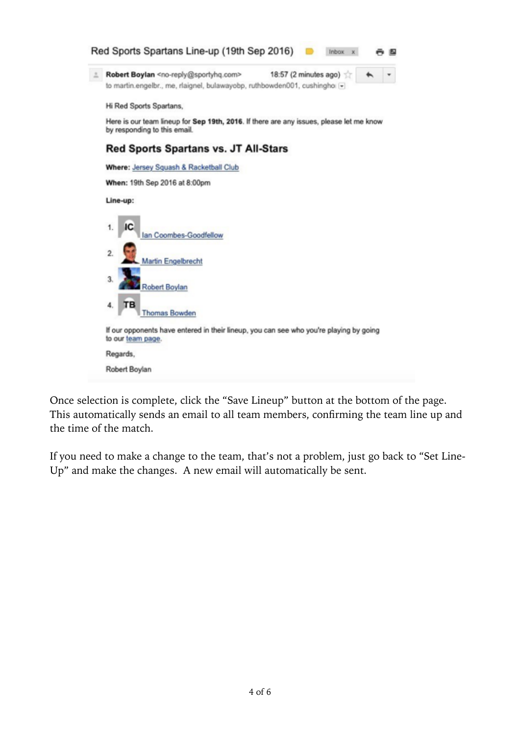

Once selection is complete, click the "Save Lineup" button at the bottom of the page. This automatically sends an email to all team members, confirming the team line up and the time of the match.

If you need to make a change to the team, that's not a problem, just go back to "Set Line-Up" and make the changes. A new email will automatically be sent.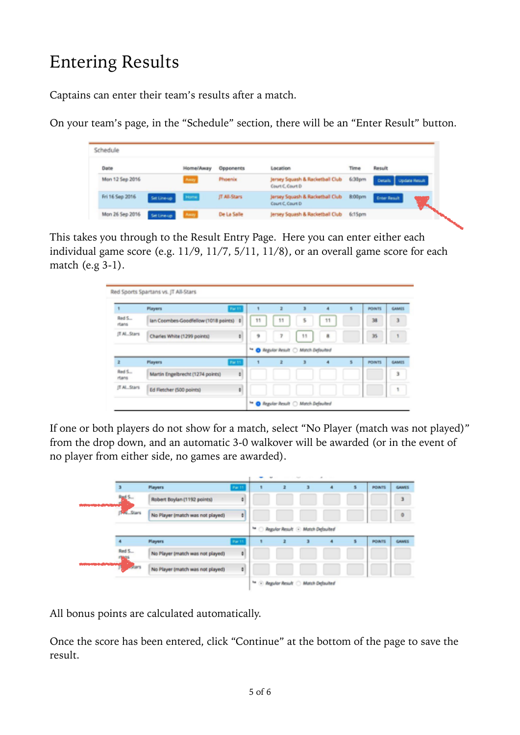# Entering Results

Captains can enter their team's results after a match.

On your team's page, in the "Schedule" section, there will be an "Enter Result" button.

| Schedule        |             |                   |              |                                                     |                    |                                     |
|-----------------|-------------|-------------------|--------------|-----------------------------------------------------|--------------------|-------------------------------------|
| Date            |             | <b>Horne/Away</b> | Opponents    | Location                                            | Time               | Result                              |
| Mon 12 Sep 2016 |             | Amey              | Phoenix      | Jersey Squash & Racketball Club<br>Court C. Court D | 6.30 <sub>pm</sub> | Details Update Result               |
| Fri 16 Sep 2016 | Set Line-up | <b>Home</b>       | IT All-Stars | Jersey Squash & Racketball Club<br>Court C. Court D | 8.00pm             | <b>Enter Result</b><br><b>STATE</b> |
| Mon 26 Sep 2016 | Set Lineup  |                   | De La Salle  | Jersey Squash & Racketball Club                     | 6:15pm             |                                     |

This takes you through to the Result Entry Page. Here you can enter either each individual game score (e.g. 11/9, 11/7, 5/11, 11/8), or an overall game score for each match (e.g 3-1).

| 4               | <b>Players</b>                         | Par 11 |    | z                                               | э  | $\overline{a}$ | s | <b>POINTS</b> | GAMIS                   |
|-----------------|----------------------------------------|--------|----|-------------------------------------------------|----|----------------|---|---------------|-------------------------|
| Red S.<br>rtans | lan Coombes-Goodfellow (1018 points) 8 |        | 11 | 11                                              | 5  | 11             |   | 38            | $\overline{\mathbf{3}}$ |
| (T Al., Stars   | Charles White (1299 points)            | ٠      | 乡  | y                                               | 11 | 8              |   | 35            | 1                       |
|                 |                                        |        |    | <sup>4</sup> O Regular Result C Match Defaulted |    |                |   |               |                         |
| ž               | <b>Players</b>                         | Par 11 | ۹  | ž                                               | a  | ٠              | s | <b>POINTS</b> | <b>GAMIT</b>            |
| Red S<br>rtans  | Martin Engelbrecht (1274 points)       | ٠      |    |                                                 |    |                |   |               | 3                       |
| IT AL. Stars    | Ed Fletcher (500 points)               | ٠      |    |                                                 |    |                |   |               | ٩                       |

If one or both players do not show for a match, select "No Player (match was not played)" from the drop down, and an automatic 3-0 walkover will be awarded (or in the event of no player from either side, no games are awarded).

|                   |                                  |                | w            |                                                         | $\sim$ |   |               |         |
|-------------------|----------------------------------|----------------|--------------|---------------------------------------------------------|--------|---|---------------|---------|
|                   | <b>Players</b>                   | 846, 11        |              |                                                         | ٠      | 5 | <b>POINTS</b> | GAMES   |
| s.<br><b>And</b>  | Robert Boylan (1192 points)      | ¢.             |              |                                                         |        |   |               | 3       |
| <b>MALL Share</b> | No Player (match was not played) | $\bullet$      |              |                                                         |        |   |               | $\circ$ |
|                   |                                  |                | $\mathbf{f}$ | Regular Result @ Match Defaulted                        |        |   |               |         |
|                   | <b>Players</b>                   | <b>Par 11</b>  |              |                                                         | ٠      | ٠ | <b>POINTS</b> | GAMES   |
| Red S.            | No Player (match was not played) | $\bullet$      |              |                                                         |        |   |               |         |
| <b>ASSIST</b>     | No Player (match was not played) | $\blacksquare$ |              |                                                         |        |   |               |         |
|                   |                                  |                |              | <sup>ta</sup> C <i>Regular Result</i> C Month Defaulted |        |   |               |         |

All bonus points are calculated automatically.

Once the score has been entered, click "Continue" at the bottom of the page to save the result.